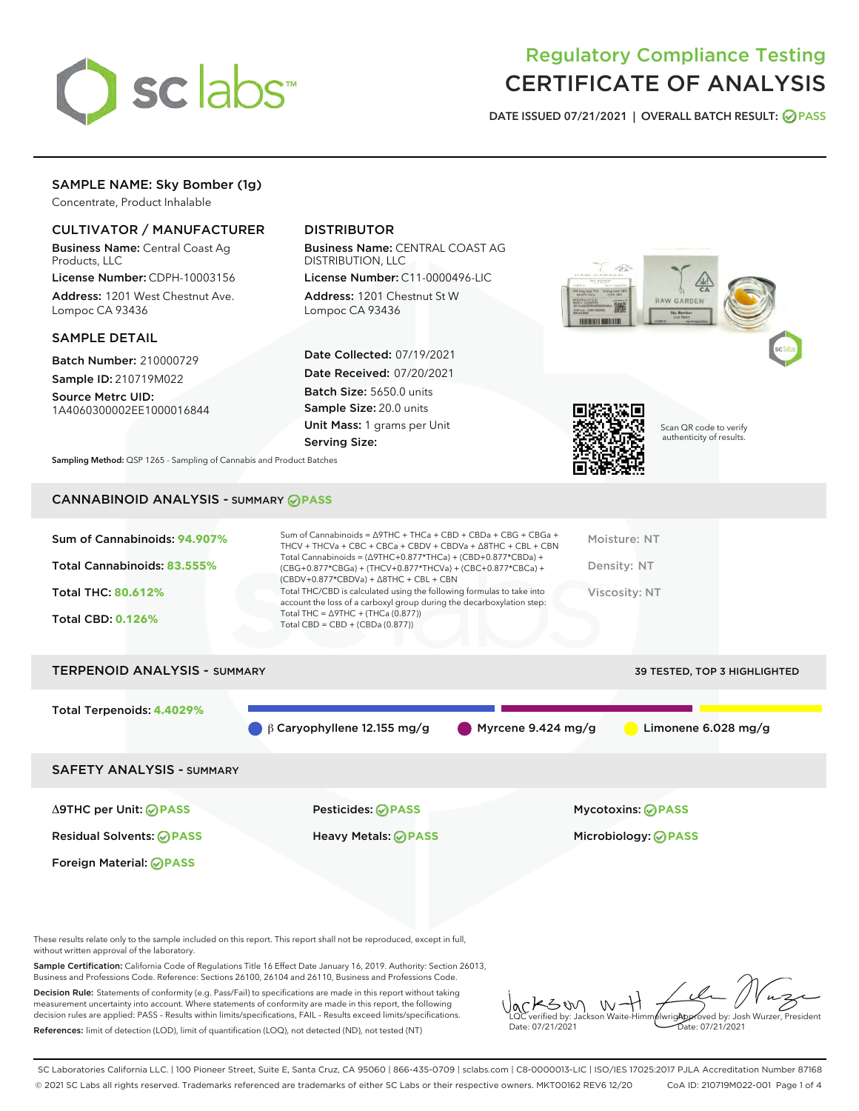

# Regulatory Compliance Testing CERTIFICATE OF ANALYSIS

DATE ISSUED 07/21/2021 | OVERALL BATCH RESULT: @ PASS

# SAMPLE NAME: Sky Bomber (1g)

Concentrate, Product Inhalable

### CULTIVATOR / MANUFACTURER

Business Name: Central Coast Ag Products, LLC

License Number: CDPH-10003156 Address: 1201 West Chestnut Ave. Lompoc CA 93436

#### SAMPLE DETAIL

Batch Number: 210000729 Sample ID: 210719M022

Source Metrc UID: 1A4060300002EE1000016844

# DISTRIBUTOR

Business Name: CENTRAL COAST AG DISTRIBUTION, LLC

License Number: C11-0000496-LIC Address: 1201 Chestnut St W Lompoc CA 93436

Date Collected: 07/19/2021 Date Received: 07/20/2021 Batch Size: 5650.0 units Sample Size: 20.0 units Unit Mass: 1 grams per Unit Serving Size:





Scan QR code to verify authenticity of results.

Sampling Method: QSP 1265 - Sampling of Cannabis and Product Batches

### CANNABINOID ANALYSIS - SUMMARY **PASS**

| account the loss of a carboxyl group during the decarboxylation step:<br>Total THC = $\triangle$ 9THC + (THCa (0.877))<br><b>Total CBD: 0.126%</b><br>Total CBD = $CBD + (CBDa (0.877))$ | Sum of Cannabinoids: 94.907%<br>Total Cannabinoids: 83.555% | Sum of Cannabinoids = $\triangle$ 9THC + THCa + CBD + CBDa + CBG + CBGa +<br>THCV + THCVa + CBC + CBCa + CBDV + CBDVa + $\Delta$ 8THC + CBL + CBN<br>Total Cannabinoids = $(\Delta 9THC + 0.877*THCa) + (CBD + 0.877*CBDa) +$<br>(CBG+0.877*CBGa) + (THCV+0.877*THCVa) + (CBC+0.877*CBCa) +<br>$(CBDV+0.877*CBDVa) + \Delta 8THC + CBL + CBN$ | Moisture: NT<br>Density: NT |
|------------------------------------------------------------------------------------------------------------------------------------------------------------------------------------------|-------------------------------------------------------------|-----------------------------------------------------------------------------------------------------------------------------------------------------------------------------------------------------------------------------------------------------------------------------------------------------------------------------------------------|-----------------------------|
|                                                                                                                                                                                          | Total THC: 80.612%                                          | Total THC/CBD is calculated using the following formulas to take into                                                                                                                                                                                                                                                                         | Viscosity: NT               |

#### TERPENOID ANALYSIS - SUMMARY 39 TESTED, TOP 3 HIGHLIGHTED

Foreign Material: **PASS**

Total Terpenoids: **4.4029%** β Caryophyllene 12.155 mg/g Myrcene 9.424 mg/g Limonene 6.028 mg/g SAFETY ANALYSIS - SUMMARY Δ9THC per Unit: **PASS** Pesticides: **PASS** Mycotoxins: **PASS** Residual Solvents: **PASS** Heavy Metals: **PASS** Microbiology: **PASS**

These results relate only to the sample included on this report. This report shall not be reproduced, except in full, without written approval of the laboratory.

Sample Certification: California Code of Regulations Title 16 Effect Date January 16, 2019. Authority: Section 26013, Business and Professions Code. Reference: Sections 26100, 26104 and 26110, Business and Professions Code.

Decision Rule: Statements of conformity (e.g. Pass/Fail) to specifications are made in this report without taking measurement uncertainty into account. Where statements of conformity are made in this report, the following decision rules are applied: PASS – Results within limits/specifications, FAIL – Results exceed limits/specifications. References: limit of detection (LOD), limit of quantification (LOQ), not detected (ND), not tested (NT)

ろめい  $W$ Approved by: Josh Wurzer, President LQC verified by: Jackson Waite-Himmelwright Date: 07/21/2021 Pate: 07/21/2021

SC Laboratories California LLC. | 100 Pioneer Street, Suite E, Santa Cruz, CA 95060 | 866-435-0709 | sclabs.com | C8-0000013-LIC | ISO/IES 17025:2017 PJLA Accreditation Number 87168 © 2021 SC Labs all rights reserved. Trademarks referenced are trademarks of either SC Labs or their respective owners. MKT00162 REV6 12/20 CoA ID: 210719M022-001 Page 1 of 4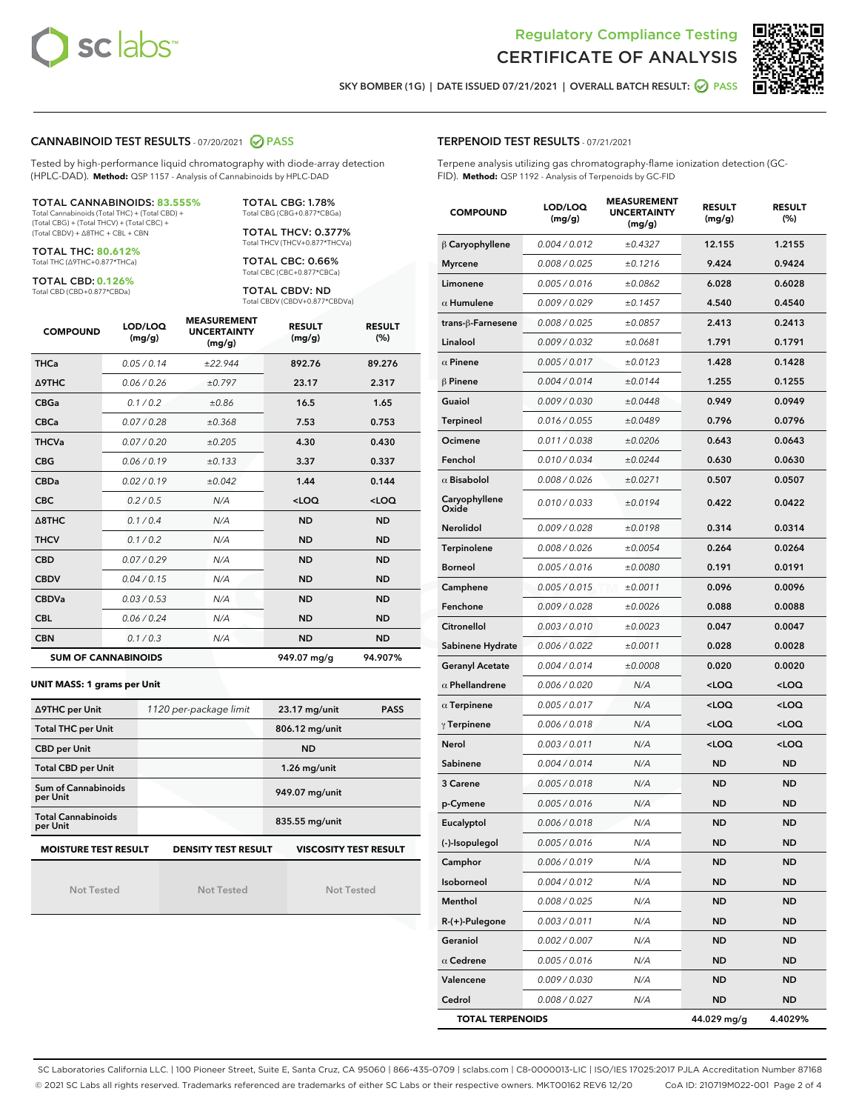



SKY BOMBER (1G) | DATE ISSUED 07/21/2021 | OVERALL BATCH RESULT:  $\bigcirc$  PASS

#### CANNABINOID TEST RESULTS - 07/20/2021 @ PASS

Tested by high-performance liquid chromatography with diode-array detection (HPLC-DAD). **Method:** QSP 1157 - Analysis of Cannabinoids by HPLC-DAD

#### TOTAL CANNABINOIDS: **83.555%** Total Cannabinoids (Total THC) + (Total CBD) +

(Total CBG) + (Total THCV) + (Total CBC) + (Total CBDV) + ∆8THC + CBL + CBN

TOTAL THC: **80.612%** Total THC (∆9THC+0.877\*THCa)

TOTAL CBD: **0.126%**

Total CBD (CBD+0.877\*CBDa)

TOTAL CBG: 1.78% Total CBG (CBG+0.877\*CBGa)

TOTAL THCV: 0.377% Total THCV (THCV+0.877\*THCVa)

TOTAL CBC: 0.66% Total CBC (CBC+0.877\*CBCa)

TOTAL CBDV: ND Total CBDV (CBDV+0.877\*CBDVa)

| <b>COMPOUND</b> | LOD/LOQ<br>(mg/g)          | <b>MEASUREMENT</b><br><b>UNCERTAINTY</b><br>(mg/g) | <b>RESULT</b><br>(mg/g) | <b>RESULT</b><br>(%) |
|-----------------|----------------------------|----------------------------------------------------|-------------------------|----------------------|
| <b>THCa</b>     | 0.05 / 0.14                | ±22.944                                            | 892.76                  | 89.276               |
| <b>A9THC</b>    | 0.06/0.26                  | ±0.797                                             | 23.17                   | 2.317                |
| <b>CBGa</b>     | 0.1 / 0.2                  | ±0.86                                              | 16.5                    | 1.65                 |
| <b>CBCa</b>     | 0.07 / 0.28                | ±0.368                                             | 7.53                    | 0.753                |
| <b>THCVa</b>    | 0.07 / 0.20                | ±0.205                                             | 4.30                    | 0.430                |
| <b>CBG</b>      | 0.06/0.19                  | ±0.133                                             | 3.37                    | 0.337                |
| <b>CBDa</b>     | 0.02/0.19                  | ±0.042                                             | 1.44                    | 0.144                |
| <b>CBC</b>      | 0.2/0.5                    | N/A                                                | $<$ LOQ                 | $<$ LOQ              |
| A8THC           | 0.1 / 0.4                  | N/A                                                | <b>ND</b>               | <b>ND</b>            |
| <b>THCV</b>     | 0.1/0.2                    | N/A                                                | <b>ND</b>               | <b>ND</b>            |
| <b>CBD</b>      | 0.07/0.29                  | N/A                                                | <b>ND</b>               | <b>ND</b>            |
| <b>CBDV</b>     | 0.04 / 0.15                | N/A                                                | <b>ND</b>               | <b>ND</b>            |
| <b>CBDVa</b>    | 0.03 / 0.53                | N/A                                                | <b>ND</b>               | <b>ND</b>            |
| <b>CBL</b>      | 0.06 / 0.24                | N/A                                                | <b>ND</b>               | <b>ND</b>            |
| <b>CBN</b>      | 0.1/0.3                    | N/A                                                | <b>ND</b>               | <b>ND</b>            |
|                 | <b>SUM OF CANNABINOIDS</b> |                                                    | 949.07 mg/g             | 94.907%              |

#### **UNIT MASS: 1 grams per Unit**

| ∆9THC per Unit                        | 1120 per-package limit     | 23.17 mg/unit<br><b>PASS</b> |
|---------------------------------------|----------------------------|------------------------------|
| <b>Total THC per Unit</b>             |                            | 806.12 mg/unit               |
| <b>CBD per Unit</b>                   |                            | <b>ND</b>                    |
| <b>Total CBD per Unit</b>             |                            | $1.26$ mg/unit               |
| Sum of Cannabinoids<br>per Unit       |                            | 949.07 mg/unit               |
| <b>Total Cannabinoids</b><br>per Unit |                            | 835.55 mg/unit               |
| <b>MOISTURE TEST RESULT</b>           | <b>DENSITY TEST RESULT</b> | <b>VISCOSITY TEST RESULT</b> |

Not Tested

Not Tested

Not Tested

#### TERPENOID TEST RESULTS - 07/21/2021

Terpene analysis utilizing gas chromatography-flame ionization detection (GC-FID). **Method:** QSP 1192 - Analysis of Terpenoids by GC-FID

| <b>COMPOUND</b>         | LOD/LOQ<br>(mg/g) | <b>MEASUREMENT</b><br><b>UNCERTAINTY</b><br>(mg/g) | <b>RESULT</b><br>(mg/g)                         | <b>RESULT</b><br>$(\%)$ |
|-------------------------|-------------------|----------------------------------------------------|-------------------------------------------------|-------------------------|
| $\beta$ Caryophyllene   | 0.004 / 0.012     | ±0.4327                                            | 12.155                                          | 1.2155                  |
| <b>Myrcene</b>          | 0.008 / 0.025     | ±0.1216                                            | 9.424                                           | 0.9424                  |
| Limonene                | 0.005 / 0.016     | ±0.0862                                            | 6.028                                           | 0.6028                  |
| $\alpha$ Humulene       | 0.009/0.029       | ±0.1457                                            | 4.540                                           | 0.4540                  |
| trans-ß-Farnesene       | 0.008 / 0.025     | ±0.0857                                            | 2.413                                           | 0.2413                  |
| Linalool                | 0.009 / 0.032     | ±0.0681                                            | 1.791                                           | 0.1791                  |
| $\alpha$ Pinene         | 0.005 / 0.017     | ±0.0123                                            | 1.428                                           | 0.1428                  |
| $\beta$ Pinene          | 0.004 / 0.014     | ±0.0144                                            | 1.255                                           | 0.1255                  |
| Guaiol                  | 0.009 / 0.030     | ±0.0448                                            | 0.949                                           | 0.0949                  |
| Terpineol               | 0.016 / 0.055     | ±0.0489                                            | 0.796                                           | 0.0796                  |
| Ocimene                 | 0.011 / 0.038     | ±0.0206                                            | 0.643                                           | 0.0643                  |
| Fenchol                 | 0.010 / 0.034     | ±0.0244                                            | 0.630                                           | 0.0630                  |
| $\alpha$ Bisabolol      | 0.008 / 0.026     | ±0.0271                                            | 0.507                                           | 0.0507                  |
| Caryophyllene<br>Oxide  | 0.010 / 0.033     | ±0.0194                                            | 0.422                                           | 0.0422                  |
| Nerolidol               | 0.009 / 0.028     | ±0.0198                                            | 0.314                                           | 0.0314                  |
| <b>Terpinolene</b>      | 0.008 / 0.026     | ±0.0054                                            | 0.264                                           | 0.0264                  |
| <b>Borneol</b>          | 0.005 / 0.016     | ±0.0080                                            | 0.191                                           | 0.0191                  |
| Camphene                | 0.005 / 0.015     | ±0.0011                                            | 0.096                                           | 0.0096                  |
| Fenchone                | 0.009 / 0.028     | ±0.0026                                            | 0.088                                           | 0.0088                  |
| Citronellol             | 0.003 / 0.010     | ±0.0023                                            | 0.047                                           | 0.0047                  |
| Sabinene Hydrate        | 0.006 / 0.022     | ±0.0011                                            | 0.028                                           | 0.0028                  |
| <b>Geranyl Acetate</b>  | 0.004 / 0.014     | ±0.0008                                            | 0.020                                           | 0.0020                  |
| $\alpha$ Phellandrene   | 0.006 / 0.020     | N/A                                                | <loq< th=""><th><loq< th=""></loq<></th></loq<> | <loq< th=""></loq<>     |
| $\alpha$ Terpinene      | 0.005 / 0.017     | N/A                                                | <loq< th=""><th><loq< th=""></loq<></th></loq<> | <loq< th=""></loq<>     |
| $\gamma$ Terpinene      | 0.006 / 0.018     | N/A                                                | <loq< th=""><th><loq< th=""></loq<></th></loq<> | <loq< th=""></loq<>     |
| Nerol                   | 0.003 / 0.011     | N/A                                                | <loq< th=""><th><loq< th=""></loq<></th></loq<> | <loq< th=""></loq<>     |
| Sabinene                | 0.004 / 0.014     | N/A                                                | ND                                              | <b>ND</b>               |
| 3 Carene                | 0.005 / 0.018     | N/A                                                | ND                                              | <b>ND</b>               |
| p-Cymene                | 0.005 / 0.016     | N/A                                                | ND                                              | <b>ND</b>               |
| Eucalyptol              | 0.006 / 0.018     | N/A                                                | ND                                              | ND                      |
| (-)-Isopulegol          | 0.005 / 0.016     | N/A                                                | ND                                              | ND                      |
| Camphor                 | 0.006 / 0.019     | N/A                                                | ND                                              | ND                      |
| Isoborneol              | 0.004 / 0.012     | N/A                                                | <b>ND</b>                                       | ND                      |
| Menthol                 | 0.008 / 0.025     | N/A                                                | ND                                              | <b>ND</b>               |
| R-(+)-Pulegone          | 0.003 / 0.011     | N/A                                                | ND                                              | ND                      |
| Geraniol                | 0.002 / 0.007     | N/A                                                | ND                                              | ND                      |
| $\alpha$ Cedrene        | 0.005 / 0.016     | N/A                                                | ND                                              | ND                      |
| Valencene               | 0.009 / 0.030     | N/A                                                | ND                                              | ND                      |
| Cedrol                  | 0.008 / 0.027     | N/A                                                | <b>ND</b>                                       | <b>ND</b>               |
| <b>TOTAL TERPENOIDS</b> |                   |                                                    | 44.029 mg/g                                     | 4.4029%                 |

SC Laboratories California LLC. | 100 Pioneer Street, Suite E, Santa Cruz, CA 95060 | 866-435-0709 | sclabs.com | C8-0000013-LIC | ISO/IES 17025:2017 PJLA Accreditation Number 87168 © 2021 SC Labs all rights reserved. Trademarks referenced are trademarks of either SC Labs or their respective owners. MKT00162 REV6 12/20 CoA ID: 210719M022-001 Page 2 of 4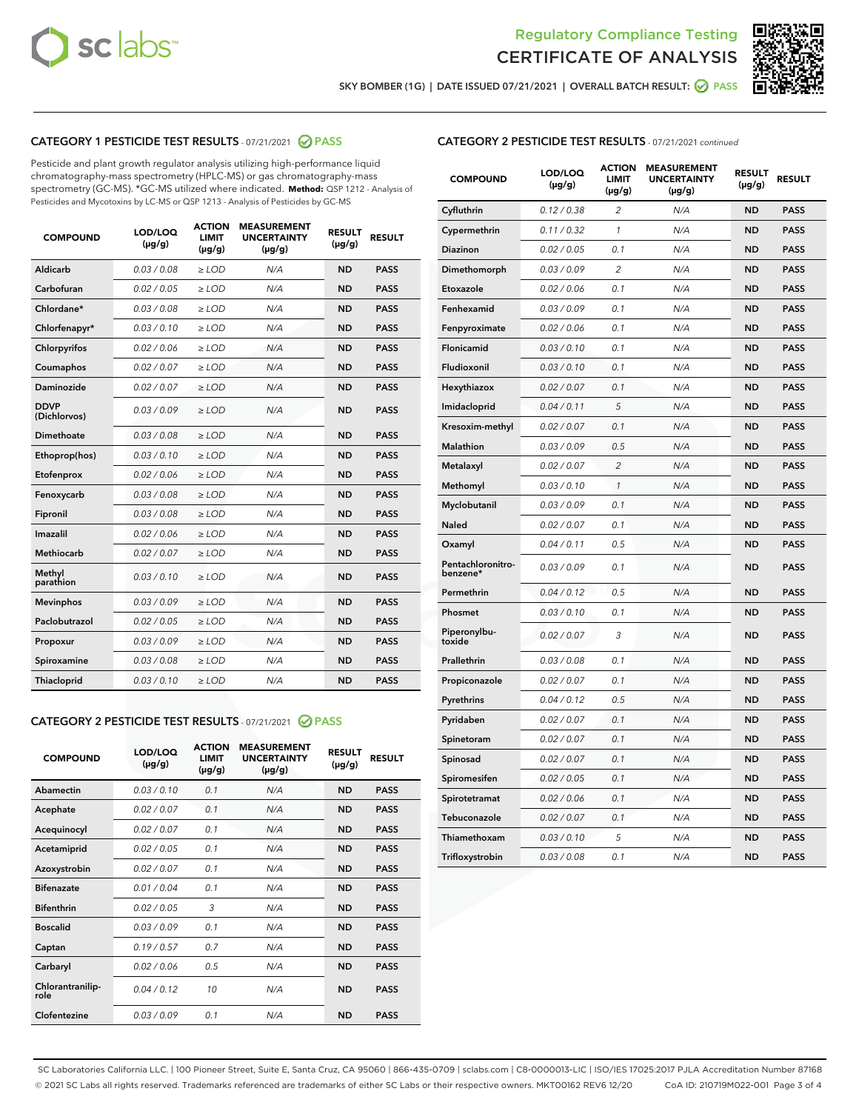



SKY BOMBER (1G) | DATE ISSUED 07/21/2021 | OVERALL BATCH RESULT: 2 PASS

# CATEGORY 1 PESTICIDE TEST RESULTS - 07/21/2021 2 PASS

Pesticide and plant growth regulator analysis utilizing high-performance liquid chromatography-mass spectrometry (HPLC-MS) or gas chromatography-mass spectrometry (GC-MS). \*GC-MS utilized where indicated. **Method:** QSP 1212 - Analysis of Pesticides and Mycotoxins by LC-MS or QSP 1213 - Analysis of Pesticides by GC-MS

| <b>COMPOUND</b>             | LOD/LOQ<br>$(\mu g/g)$ | <b>ACTION</b><br>LIMIT<br>$(\mu g/g)$ | <b>MEASUREMENT</b><br><b>UNCERTAINTY</b><br>$(\mu g/g)$ | <b>RESULT</b><br>$(\mu g/g)$ | <b>RESULT</b> |
|-----------------------------|------------------------|---------------------------------------|---------------------------------------------------------|------------------------------|---------------|
| Aldicarb                    | 0.03 / 0.08            | $\ge$ LOD                             | N/A                                                     | <b>ND</b>                    | <b>PASS</b>   |
| Carbofuran                  | 0.02 / 0.05            | $\geq$ LOD                            | N/A                                                     | <b>ND</b>                    | <b>PASS</b>   |
| Chlordane*                  | 0.03 / 0.08            | $\ge$ LOD                             | N/A                                                     | <b>ND</b>                    | <b>PASS</b>   |
| Chlorfenapyr*               | 0.03/0.10              | $\geq$ LOD                            | N/A                                                     | <b>ND</b>                    | <b>PASS</b>   |
| Chlorpyrifos                | 0.02 / 0.06            | $\ge$ LOD                             | N/A                                                     | <b>ND</b>                    | <b>PASS</b>   |
| Coumaphos                   | 0.02 / 0.07            | $\ge$ LOD                             | N/A                                                     | <b>ND</b>                    | <b>PASS</b>   |
| Daminozide                  | 0.02/0.07              | $>$ LOD                               | N/A                                                     | <b>ND</b>                    | <b>PASS</b>   |
| <b>DDVP</b><br>(Dichlorvos) | 0.03/0.09              | $\ge$ LOD                             | N/A                                                     | <b>ND</b>                    | <b>PASS</b>   |
| <b>Dimethoate</b>           | 0.03 / 0.08            | $\ge$ LOD                             | N/A                                                     | <b>ND</b>                    | <b>PASS</b>   |
| Ethoprop(hos)               | 0.03/0.10              | $\ge$ LOD                             | N/A                                                     | <b>ND</b>                    | <b>PASS</b>   |
| Etofenprox                  | 0.02 / 0.06            | $\ge$ LOD                             | N/A                                                     | <b>ND</b>                    | <b>PASS</b>   |
| Fenoxycarb                  | 0.03 / 0.08            | $\ge$ LOD                             | N/A                                                     | <b>ND</b>                    | <b>PASS</b>   |
| Fipronil                    | 0.03 / 0.08            | $\ge$ LOD                             | N/A                                                     | <b>ND</b>                    | <b>PASS</b>   |
| Imazalil                    | 0.02 / 0.06            | $\ge$ LOD                             | N/A                                                     | <b>ND</b>                    | <b>PASS</b>   |
| Methiocarb                  | 0.02 / 0.07            | $>$ LOD                               | N/A                                                     | <b>ND</b>                    | <b>PASS</b>   |
| Methyl<br>parathion         | 0.03/0.10              | $\ge$ LOD                             | N/A                                                     | <b>ND</b>                    | <b>PASS</b>   |
| <b>Mevinphos</b>            | 0.03/0.09              | $\ge$ LOD                             | N/A                                                     | <b>ND</b>                    | <b>PASS</b>   |
| Paclobutrazol               | 0.02 / 0.05            | $\ge$ LOD                             | N/A                                                     | <b>ND</b>                    | <b>PASS</b>   |
| Propoxur                    | 0.03/0.09              | $\ge$ LOD                             | N/A                                                     | <b>ND</b>                    | <b>PASS</b>   |
| Spiroxamine                 | 0.03 / 0.08            | $\ge$ LOD                             | N/A                                                     | <b>ND</b>                    | <b>PASS</b>   |
| Thiacloprid                 | 0.03/0.10              | $\ge$ LOD                             | N/A                                                     | <b>ND</b>                    | <b>PASS</b>   |
|                             |                        |                                       |                                                         |                              |               |

# CATEGORY 2 PESTICIDE TEST RESULTS - 07/21/2021 @ PASS

| <b>COMPOUND</b>          | LOD/LOQ<br>$(\mu g/g)$ | <b>ACTION</b><br>LIMIT<br>$(\mu g/g)$ | <b>MEASUREMENT</b><br><b>UNCERTAINTY</b><br>$(\mu g/g)$ | <b>RESULT</b><br>$(\mu g/g)$ | <b>RESULT</b> |
|--------------------------|------------------------|---------------------------------------|---------------------------------------------------------|------------------------------|---------------|
| Abamectin                | 0.03/0.10              | 0.1                                   | N/A                                                     | <b>ND</b>                    | <b>PASS</b>   |
| Acephate                 | 0.02/0.07              | 0.1                                   | N/A                                                     | <b>ND</b>                    | <b>PASS</b>   |
| Acequinocyl              | 0.02/0.07              | 0.1                                   | N/A                                                     | <b>ND</b>                    | <b>PASS</b>   |
| Acetamiprid              | 0.02 / 0.05            | 0.1                                   | N/A                                                     | <b>ND</b>                    | <b>PASS</b>   |
| Azoxystrobin             | 0.02/0.07              | 0.1                                   | N/A                                                     | <b>ND</b>                    | <b>PASS</b>   |
| <b>Bifenazate</b>        | 0.01/0.04              | 0.1                                   | N/A                                                     | <b>ND</b>                    | <b>PASS</b>   |
| <b>Bifenthrin</b>        | 0.02 / 0.05            | 3                                     | N/A                                                     | <b>ND</b>                    | <b>PASS</b>   |
| <b>Boscalid</b>          | 0.03/0.09              | 0.1                                   | N/A                                                     | <b>ND</b>                    | <b>PASS</b>   |
| Captan                   | 0.19/0.57              | 0.7                                   | N/A                                                     | <b>ND</b>                    | <b>PASS</b>   |
| Carbaryl                 | 0.02/0.06              | 0.5                                   | N/A                                                     | <b>ND</b>                    | <b>PASS</b>   |
| Chlorantranilip-<br>role | 0.04/0.12              | 10                                    | N/A                                                     | <b>ND</b>                    | <b>PASS</b>   |
| Clofentezine             | 0.03/0.09              | 0.1                                   | N/A                                                     | <b>ND</b>                    | <b>PASS</b>   |

### CATEGORY 2 PESTICIDE TEST RESULTS - 07/21/2021 continued

| <b>COMPOUND</b>               | LOD/LOQ<br>(µg/g) | <b>ACTION</b><br><b>LIMIT</b><br>$(\mu g/g)$ | <b>MEASUREMENT</b><br><b>UNCERTAINTY</b><br>$(\mu g/g)$ | <b>RESULT</b><br>(µg/g) | <b>RESULT</b> |
|-------------------------------|-------------------|----------------------------------------------|---------------------------------------------------------|-------------------------|---------------|
| Cyfluthrin                    | 0.12 / 0.38       | $\overline{c}$                               | N/A                                                     | ND                      | <b>PASS</b>   |
| Cypermethrin                  | 0.11 / 0.32       | $\mathcal{I}$                                | N/A                                                     | ND                      | <b>PASS</b>   |
| <b>Diazinon</b>               | 0.02 / 0.05       | 0.1                                          | N/A                                                     | <b>ND</b>               | <b>PASS</b>   |
| Dimethomorph                  | 0.03 / 0.09       | 2                                            | N/A                                                     | ND                      | <b>PASS</b>   |
| Etoxazole                     | 0.02 / 0.06       | 0.1                                          | N/A                                                     | ND                      | <b>PASS</b>   |
| Fenhexamid                    | 0.03 / 0.09       | 0.1                                          | N/A                                                     | ND                      | <b>PASS</b>   |
| Fenpyroximate                 | 0.02 / 0.06       | 0.1                                          | N/A                                                     | <b>ND</b>               | <b>PASS</b>   |
| Flonicamid                    | 0.03 / 0.10       | 0.1                                          | N/A                                                     | ND                      | <b>PASS</b>   |
| Fludioxonil                   | 0.03 / 0.10       | 0.1                                          | N/A                                                     | ND                      | <b>PASS</b>   |
| Hexythiazox                   | 0.02 / 0.07       | 0.1                                          | N/A                                                     | ND                      | <b>PASS</b>   |
| Imidacloprid                  | 0.04 / 0.11       | 5                                            | N/A                                                     | ND                      | <b>PASS</b>   |
| Kresoxim-methyl               | 0.02 / 0.07       | 0.1                                          | N/A                                                     | ND                      | <b>PASS</b>   |
| Malathion                     | 0.03 / 0.09       | 0.5                                          | N/A                                                     | ND                      | <b>PASS</b>   |
| Metalaxyl                     | 0.02 / 0.07       | $\overline{c}$                               | N/A                                                     | ND                      | <b>PASS</b>   |
| Methomyl                      | 0.03 / 0.10       | $\mathbf{1}$                                 | N/A                                                     | ND                      | <b>PASS</b>   |
| Myclobutanil                  | 0.03 / 0.09       | 0.1                                          | N/A                                                     | <b>ND</b>               | <b>PASS</b>   |
| Naled                         | 0.02 / 0.07       | 0.1                                          | N/A                                                     | ND                      | <b>PASS</b>   |
| Oxamyl                        | 0.04 / 0.11       | 0.5                                          | N/A                                                     | ND                      | PASS          |
| Pentachloronitro-<br>benzene* | 0.03 / 0.09       | 0.1                                          | N/A                                                     | ND                      | <b>PASS</b>   |
| Permethrin                    | 0.04 / 0.12       | 0.5                                          | N/A                                                     | ND                      | <b>PASS</b>   |
| Phosmet                       | 0.03 / 0.10       | 0.1                                          | N/A                                                     | ND                      | <b>PASS</b>   |
| Piperonylbu-<br>toxide        | 0.02 / 0.07       | 3                                            | N/A                                                     | <b>ND</b>               | <b>PASS</b>   |
| Prallethrin                   | 0.03 / 0.08       | 0.1                                          | N/A                                                     | ND                      | <b>PASS</b>   |
| Propiconazole                 | 0.02 / 0.07       | 0.1                                          | N/A                                                     | <b>ND</b>               | <b>PASS</b>   |
| Pyrethrins                    | 0.04 / 0.12       | 0.5                                          | N/A                                                     | ND                      | <b>PASS</b>   |
| Pyridaben                     | 0.02 / 0.07       | 0.1                                          | N/A                                                     | <b>ND</b>               | <b>PASS</b>   |
| Spinetoram                    | 0.02 / 0.07       | 0.1                                          | N/A                                                     | ND                      | <b>PASS</b>   |
| Spinosad                      | 0.02 / 0.07       | 0.1                                          | N/A                                                     | ND                      | <b>PASS</b>   |
| Spiromesifen                  | 0.02 / 0.05       | 0.1                                          | N/A                                                     | <b>ND</b>               | <b>PASS</b>   |
| Spirotetramat                 | 0.02 / 0.06       | 0.1                                          | N/A                                                     | ND                      | <b>PASS</b>   |
| Tebuconazole                  | 0.02 / 0.07       | 0.1                                          | N/A                                                     | ND                      | <b>PASS</b>   |
| Thiamethoxam                  | 0.03 / 0.10       | 5                                            | N/A                                                     | <b>ND</b>               | <b>PASS</b>   |
| Trifloxystrobin               | 0.03 / 0.08       | 0.1                                          | N/A                                                     | <b>ND</b>               | <b>PASS</b>   |

SC Laboratories California LLC. | 100 Pioneer Street, Suite E, Santa Cruz, CA 95060 | 866-435-0709 | sclabs.com | C8-0000013-LIC | ISO/IES 17025:2017 PJLA Accreditation Number 87168 © 2021 SC Labs all rights reserved. Trademarks referenced are trademarks of either SC Labs or their respective owners. MKT00162 REV6 12/20 CoA ID: 210719M022-001 Page 3 of 4